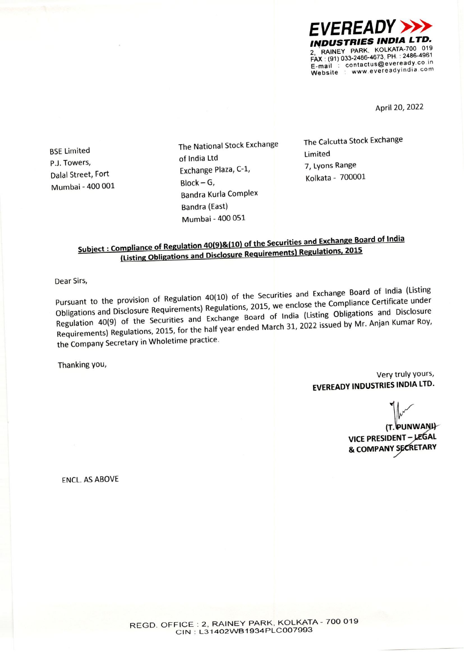

April 20, 2022

**BSE Limited** P.J. Towers, Dalal Street, Fort Mumbai - 400 001 The National Stock Exchange of India Ltd Exchange Plaza, C-1,  $Block - G,$ **Bandra Kurla Complex** Bandra (East) Mumbai - 400 051

The Calcutta Stock Exchange Limited 7, Lyons Range Kolkata - 700001

## Subject: Compliance of Regulation 40(9)&(10) of the Securities and Exchange Board of India (Listing Obligations and Disclosure Requirements) Regulations, 2015

Dear Sirs,

Pursuant to the provision of Regulation 40(10) of the Securities and Exchange Board of India (Listing Obligations and Disclosure Requirements) Regulations, 2015, we enclose the Compliance Certificate under Regulation 40(9) of the Securities and Exchange Board of India (Listing Obligations and Disclosure Requirements) Regulations, 2015, for the half year ended March 31, 2022 issued by Mr. Anjan Kumar Roy, the Company Secretary in Wholetime practice.

Thanking you,

Very truly yours, **EVEREADY INDUSTRIES INDIA LTD.** 

(T. PUNWANH VICE PRESIDENT - LEGAL & COMPANY SECRETARY

**FNCL. AS ABOVE**